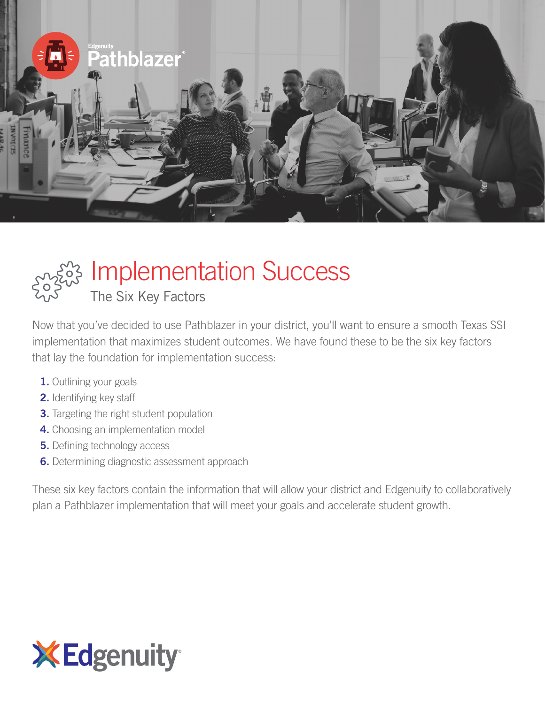



# $\ddot{\mathcal{E}}$  Implementation Success

The Six Key Factors

Now that you've decided to use Pathblazer in your district, you'll want to ensure a smooth Texas SSI implementation that maximizes student outcomes. We have found these to be the six key factors that lay the foundation for implementation success:

- 1. Outlining your goals
- 2. Identifying key staff
- **3.** Targeting the right student population
- 4. Choosing an implementation model
- **5.** Defining technology access
- **6.** Determining diagnostic assessment approach

These six key factors contain the information that will allow your district and Edgenuity to collaboratively plan a Pathblazer implementation that will meet your goals and accelerate student growth.

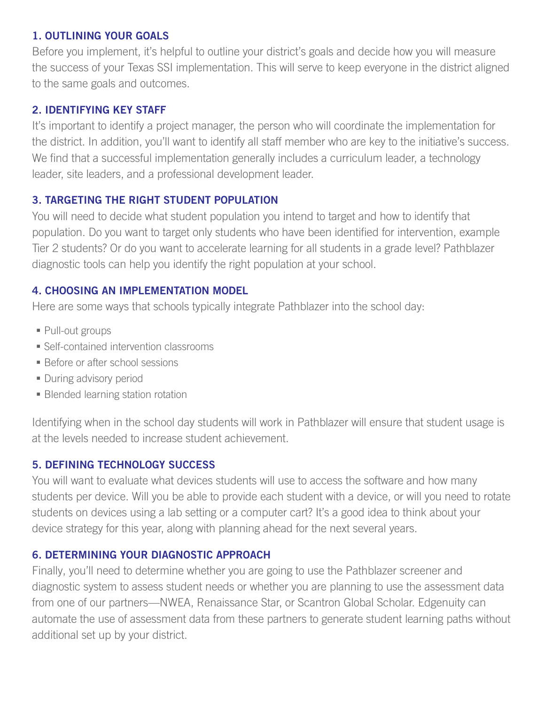#### 1. OUTLINING YOUR GOALS

Before you implement, it's helpful to outline your district's goals and decide how you will measure the success of your Texas SSI implementation. This will serve to keep everyone in the district aligned to the same goals and outcomes.

#### 2. IDENTIFYING KEY STAFF

It's important to identify a project manager, the person who will coordinate the implementation for the district. In addition, you'll want to identify all staff member who are key to the initiative's success. We find that a successful implementation generally includes a curriculum leader, a technology leader, site leaders, and a professional development leader.

# 3. TARGETING THE RIGHT STUDENT POPULATION

You will need to decide what student population you intend to target and how to identify that population. Do you want to target only students who have been identified for intervention, example Tier 2 students? Or do you want to accelerate learning for all students in a grade level? Pathblazer diagnostic tools can help you identify the right population at your school.

#### 4. CHOOSING AN IMPLEMENTATION MODEL

Here are some ways that schools typically integrate Pathblazer into the school day:

- Pull-out groups
- Self-contained intervention classrooms
- **Before or after school sessions**
- **During advisory period**
- Blended learning station rotation

Identifying when in the school day students will work in Pathblazer will ensure that student usage is at the levels needed to increase student achievement.

# 5. DEFINING TECHNOLOGY SUCCESS

You will want to evaluate what devices students will use to access the software and how many students per device. Will you be able to provide each student with a device, or will you need to rotate students on devices using a lab setting or a computer cart? It's a good idea to think about your device strategy for this year, along with planning ahead for the next several years.

# 6. DETERMINING YOUR DIAGNOSTIC APPROACH

Finally, you'll need to determine whether you are going to use the Pathblazer screener and diagnostic system to assess student needs or whether you are planning to use the assessment data from one of our partners—NWEA, Renaissance Star, or Scantron Global Scholar. Edgenuity can automate the use of assessment data from these partners to generate student learning paths without additional set up by your district.